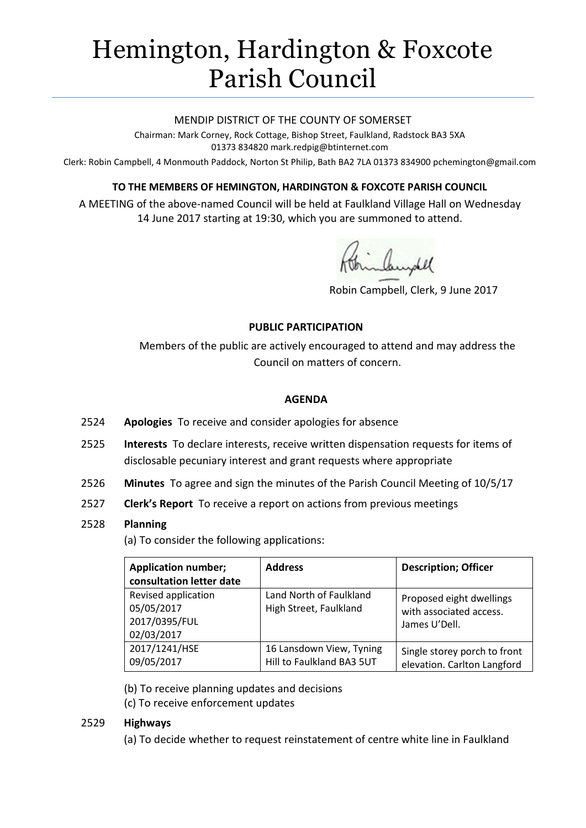# Hemington, Hardington & Foxcote Parish Council

#### MENDIP DISTRICT OF THE COUNTY OF SOMERSET

Chairman: Mark Corney, Rock Cottage, Bishop Street, Faulkland, Radstock BA3 5XA 01373 834820 mark.redpig@btinternet.com

Clerk: Robin Campbell, 4 Monmouth Paddock, Norton St Philip, Bath BA2 7LA 01373 834900 [pchemington@gmail.com](mailto:pchemington@gmail.com)

## **TO THE MEMBERS OF HEMINGTON, HARDINGTON & FOXCOTE PARISH COUNCIL**

A MEETING of the above-named Council will be held at Faulkland Village Hall on Wednesday 14 June 2017 starting at 19:30, which you are summoned to attend.

inbundel

Robin Campbell, Clerk, 9 June 2017

#### **PUBLIC PARTICIPATION**

Members of the public are actively encouraged to attend and may address the Council on matters of concern.

#### **AGENDA**

- 2524 **Apologies** To receive and consider apologies for absence
- 2525 **Interests** To declare interests, receive written dispensation requests for items of disclosable pecuniary interest and grant requests where appropriate
- 2526 **Minutes** To agree and sign the minutes of the Parish Council Meeting of 10/5/17
- 2527 **Clerk's Report** To receive a report on actions from previous meetings

#### 2528 **Planning**

(a) To consider the following applications:

| <b>Application number;</b><br>consultation letter date           | <b>Address</b>                                        | <b>Description; Officer</b>                                          |
|------------------------------------------------------------------|-------------------------------------------------------|----------------------------------------------------------------------|
| Revised application<br>05/05/2017<br>2017/0395/FUL<br>02/03/2017 | Land North of Faulkland<br>High Street, Faulkland     | Proposed eight dwellings<br>with associated access.<br>James U'Dell. |
| 2017/1241/HSE<br>09/05/2017                                      | 16 Lansdown View, Tyning<br>Hill to Faulkland BA3 5UT | Single storey porch to front<br>elevation. Carlton Langford          |

(b) To receive planning updates and decisions

(c) To receive enforcement updates

## 2529 **Highways**

(a) To decide whether to request reinstatement of centre white line in Faulkland